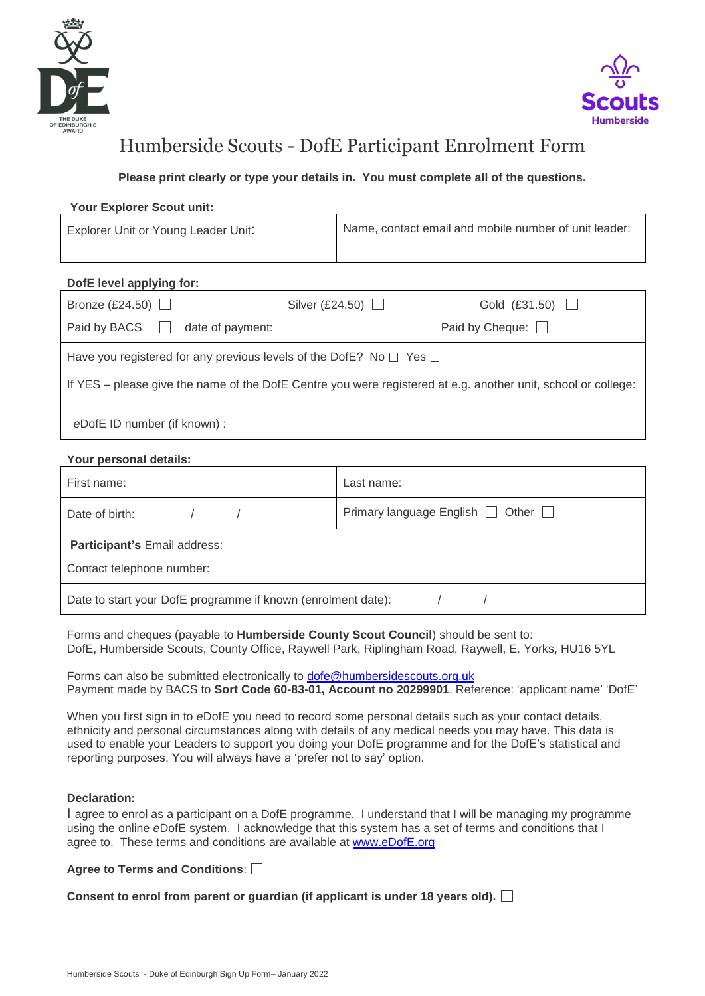



# Humberside Scouts - DofE Participant Enrolment Form

**Please print clearly or type your details in. You must complete all of the questions.**

### **Your Explorer Scout unit:**

| Explorer Unit or Young Leader Unit: | Name, contact email and mobile number of unit leader: |
|-------------------------------------|-------------------------------------------------------|
|                                     |                                                       |

## **DofE level applying for:**

| Bronze (£24.50) $\Box$                                                                                        | Silver (£24.50) $\Box$ | Gold $(E31.50)$        |
|---------------------------------------------------------------------------------------------------------------|------------------------|------------------------|
| Paid by BACS   date of payment:                                                                               |                        | Paid by Cheque: $\Box$ |
| Have you registered for any previous levels of the DofE? No $\Box$ Yes $\Box$                                 |                        |                        |
| If YES – please give the name of the DofE Centre you were registered at e.g. another unit, school or college: |                        |                        |
| eDofE ID number (if known) :                                                                                  |                        |                        |

### **Your personal details:**

| First name:                                                  | Last name:                                   |  |
|--------------------------------------------------------------|----------------------------------------------|--|
| Date of birth:                                               | Primary language English $\Box$ Other $\Box$ |  |
| Participant's Email address:                                 |                                              |  |
| Contact telephone number:                                    |                                              |  |
| Date to start your DofE programme if known (enrolment date): |                                              |  |

Forms and cheques (payable to **Humberside County Scout Council**) should be sent to: DofE, Humberside Scouts, County Office, Raywell Park, Riplingham Road, Raywell, E. Yorks, HU16 5YL

Forms can also be submitted electronically to [dofe@humbersidescouts.org.uk](mailto:dofe@humbersidescouts.org.uk) Payment made by BACS to **Sort Code 60-83-01, Account no 20299901**. Reference: 'applicant name' 'DofE'

When you first sign in to *e*DofE you need to record some personal details such as your contact details, ethnicity and personal circumstances along with details of any medical needs you may have. This data is used to enable your Leaders to support you doing your DofE programme and for the DofE's statistical and reporting purposes. You will always have a 'prefer not to say' option.

#### **Declaration:**

I agree to enrol as a participant on a DofE programme. I understand that I will be managing my programme using the online *e*DofE system. I acknowledge that this system has a set of terms and conditions that I agree to. These terms and conditions are available at [www.eDofE.org](http://www.edofe.org/)

## **Agree to Terms and Conditions**:

**Consent to enrol from parent or guardian (if applicant is under 18 years old).**